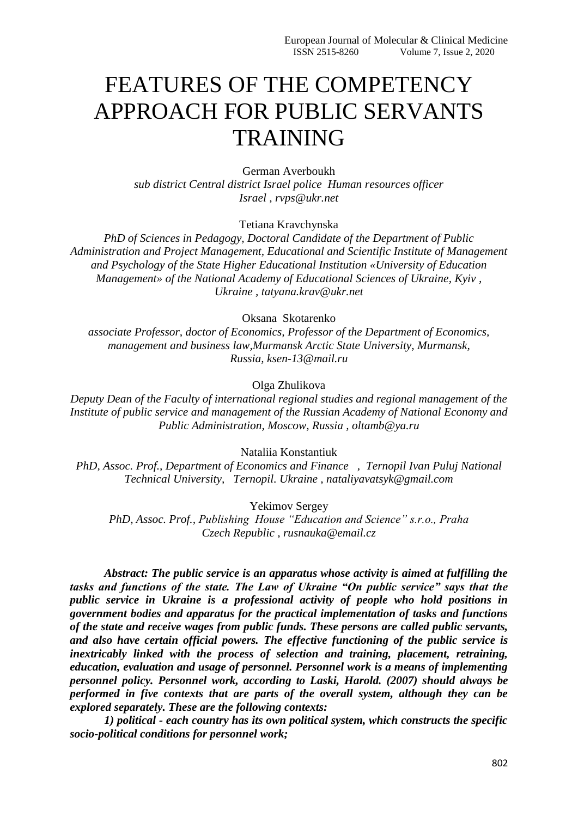# FEATURES OF THE COMPETENCY APPROACH FOR PUBLIC SERVANTS **TRAINING**

German Averboukh *sub district Central district Israel police Human resources officer Israel , rvps@ukr.net*

Tetiana Kravchynska

*PhD of Sciences in Pedagogy, Doctoral Candidate of the Department of Public Administration and Project Management, Educational and Scientific Institute of Management and Psychology of the State Higher Educational Institution «University of Education Management» of the National Academy of Educational Sciences of Ukraine, Kyiv , Ukraine , tatyana.krav@ukr.net*

Oksana Skotarenko

*associate Professor, doctor of Economics, Professor of the Department of Economics, management and business law,Murmansk Arctic State University, Murmansk, Russia, ksen-13@mail.ru*

Olga Zhulikova

*Deputy Dean of the Faculty of international regional studies and regional management of the Institute of public service and management of the Russian Academy of National Economy and Public Administration, Moscow, Russia , oltamb@ya.ru*

Nataliia Konstantiuk

*PhD, Assoc. Prof., Department of Economics and Finance , Ternopil Ivan Puluj National Technical University, Ternopil. Ukraine , nataliyavatsyk@gmail.com*

Yekimov Sergey

*PhD, Assoc. Prof., Publishing House "Education and Science" s.r.o., Praha Czech Republic , rusnauka@email.cz*

*Abstract: The public service is an apparatus whose activity is aimed at fulfilling the tasks and functions of the state. The Law of Ukraine "On public service" says that the public service in Ukraine is a professional activity of people who hold positions in government bodies and apparatus for the practical implementation of tasks and functions of the state and receive wages from public funds. These persons are called public servants, and also have certain official powers. The effective functioning of the public service is inextricably linked with the process of selection and training, placement, retraining, education, evaluation and usage of personnel. Personnel work is a means of implementing personnel policy. Personnel work, according to Laski, Harold. (2007) should always be performed in five contexts that are parts of the overall system, although they can be explored separately. These are the following contexts:*

*1) political - each country has its own political system, which constructs the specific socio-political conditions for personnel work;*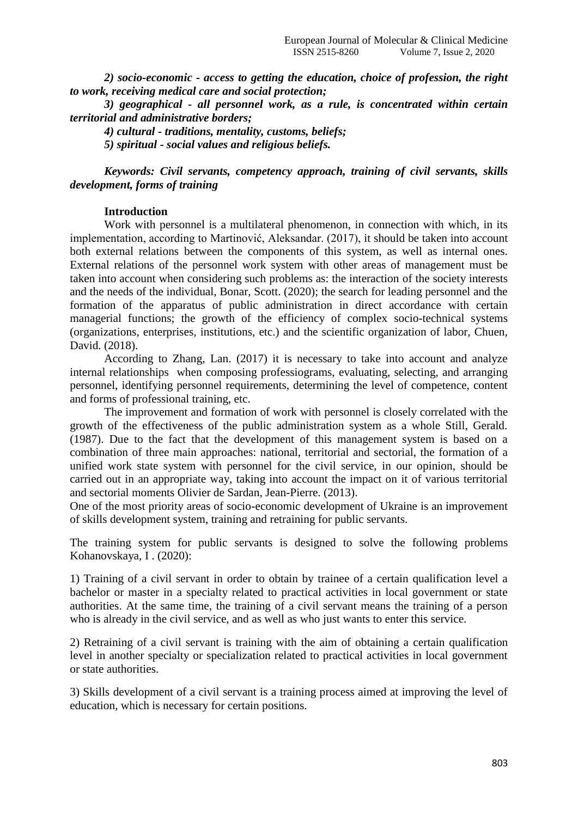*2) socio-economic - access to getting the education, choice of profession, the right to work, receiving medical care and social protection;*

*3) geographical - all personnel work, as a rule, is concentrated within certain territorial and administrative borders;*

*4) cultural - traditions, mentality, customs, beliefs;*

*5) spiritual - social values and religious beliefs.*

*Keywords: Civil servants, competency approach, training of civil servants, skills development, forms of training*

## **Introduction**

Work with personnel is a multilateral phenomenon, in connection with which, in its implementation, according to Martinović, Aleksandar. (2017), it should be taken into account both external relations between the components of this system, as well as internal ones. External relations of the personnel work system with other areas of management must be taken into account when considering such problems as: the interaction of the society interests and the needs of the individual, Bonar, Scott. (2020); the search for leading personnel and the formation of the apparatus of public administration in direct accordance with certain managerial functions; the growth of the efficiency of complex socio-technical systems (organizations, enterprises, institutions, etc.) and the scientific organization of labor, Chuen, David. (2018).

According to Zhang, Lan. (2017) it is necessary to take into account and analyze internal relationships when composing professiograms, evaluating, selecting, and arranging personnel, identifying personnel requirements, determining the level of competence, content and forms of professional training, etc.

The improvement and formation of work with personnel is closely correlated with the growth of the effectiveness of the public administration system as a whole Still, Gerald. (1987). Due to the fact that the development of this management system is based on a combination of three main approaches: national, territorial and sectorial, the formation of a unified work state system with personnel for the civil service, in our opinion, should be carried out in an appropriate way, taking into account the impact on it of various territorial and sectorial moments Olivier de Sardan, Jean-Pierre. (2013).

One of the most priority areas of socio-economic development of Ukraine is an improvement of skills development system, training and retraining for public servants.

The training system for public servants is designed to solve the following problems Kohanovskaya, I . (2020):

1) Training of a civil servant in order to obtain by trainee of a certain qualification level a bachelor or master in a specialty related to practical activities in local government or state authorities. At the same time, the training of a civil servant means the training of a person who is already in the civil service, and as well as who just wants to enter this service.

2) Retraining of a civil servant is training with the aim of obtaining a certain qualification level in another specialty or specialization related to practical activities in local government or state authorities.

3) Skills development of a civil servant is a training process aimed at improving the level of education, which is necessary for certain positions.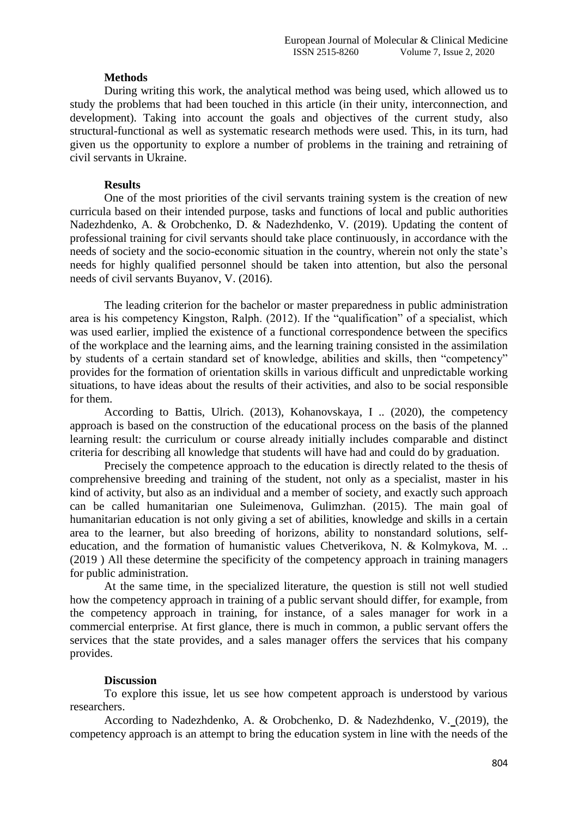# **Methods**

During writing this work, the analytical method was being used, which allowed us to study the problems that had been touched in this article (in their unity, interconnection, and development). Taking into account the goals and objectives of the current study, also structural-functional as well as systematic research methods were used. This, in its turn, had given us the opportunity to explore a number of problems in the training and retraining of civil servants in Ukraine.

# **Results**

One of the most priorities of the civil servants training system is the creation of new curricula based on their intended purpose, tasks and functions of local and public authorities Nadezhdenko, A. & Orobchenko, D. & Nadezhdenko, V. (2019). Updating the content of professional training for civil servants should take place continuously, in accordance with the needs of society and the socio-economic situation in the country, wherein not only the state's needs for highly qualified personnel should be taken into attention, but also the personal needs of civil servants Buyanov, V. (2016).

The leading criterion for the bachelor or master preparedness in public administration area is his competency Kingston, Ralph. (2012). If the "qualification" of a specialist, which was used earlier, implied the existence of a functional correspondence between the specifics of the workplace and the learning aims, and the learning training consisted in the assimilation by students of a certain standard set of knowledge, abilities and skills, then "competency" provides for the formation of orientation skills in various difficult and unpredictable working situations, to have ideas about the results of their activities, and also to be social responsible for them.

According to Battis, Ulrich. (2013), Kohanovskaya, I .. (2020), the competency approach is based on the construction of the educational process on the basis of the planned learning result: the curriculum or course already initially includes comparable and distinct criteria for describing all knowledge that students will have had and could do by graduation.

Precisely the competence approach to the education is directly related to the thesis of comprehensive breeding and training of the student, not only as a specialist, master in his kind of activity, but also as an individual and a member of society, and exactly such approach can be called humanitarian one Suleimenova, Gulimzhan. (2015). The main goal of humanitarian education is not only giving a set of abilities, knowledge and skills in a certain area to the learner, but also breeding of horizons, ability to nonstandard solutions, selfeducation, and the formation of humanistic values Chetverikova, N. & Kolmykova, M. .. (2019 ) All these determine the specificity of the competency approach in training managers for public administration.

At the same time, in the specialized literature, the question is still not well studied how the competency approach in training of a public servant should differ, for example, from the competency approach in training, for instance, of a sales manager for work in a commercial enterprise. At first glance, there is much in common, a public servant offers the services that the state provides, and a sales manager offers the services that his company provides.

# **Discussion**

To explore this issue, let us see how competent approach is understood by various researchers.

According to Nadezhdenko, A. & Orobchenko, D. & Nadezhdenko, V. (2019), the competency approach is an attempt to bring the education system in line with the needs of the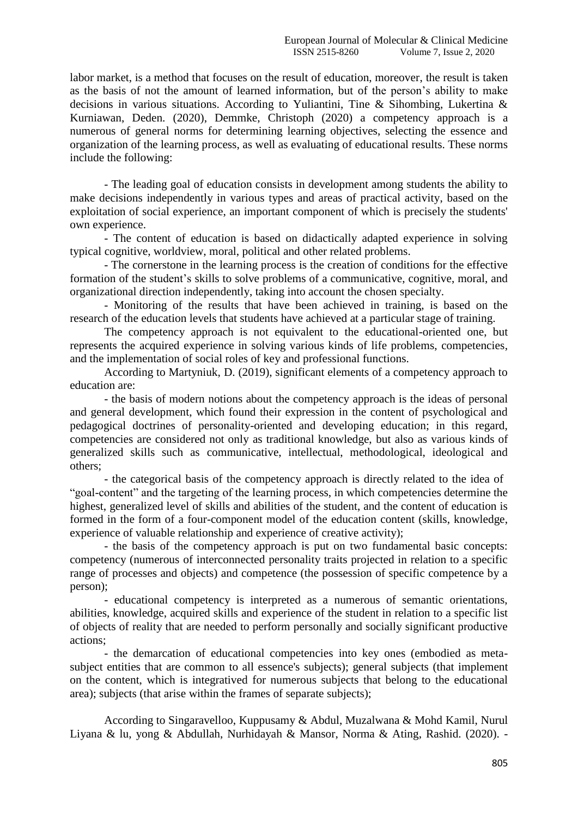labor market, is a method that focuses on the result of education, moreover, the result is taken as the basis of not the amount of learned information, but of the person's ability to make decisions in various situations. According to Yuliantini, Tine & Sihombing, Lukertina & Kurniawan, Deden. (2020), Demmke, Christoph (2020) a competency approach is a numerous of general norms for determining learning objectives, selecting the essence and organization of the learning process, as well as evaluating of educational results. These norms include the following:

- The leading goal of education consists in development among students the ability to make decisions independently in various types and areas of practical activity, based on the exploitation of social experience, an important component of which is precisely the students' own experience.

- The content of education is based on didactically adapted experience in solving typical cognitive, worldview, moral, political and other related problems.

- The cornerstone in the learning process is the creation of conditions for the effective formation of the student's skills to solve problems of a communicative, cognitive, moral, and organizational direction independently, taking into account the chosen specialty.

- Monitoring of the results that have been achieved in training, is based on the research of the education levels that students have achieved at a particular stage of training.

The competency approach is not equivalent to the educational-oriented one, but represents the acquired experience in solving various kinds of life problems, competencies, and the implementation of social roles of key and professional functions.

According to Martyniuk, D. (2019), significant elements of a competency approach to education are:

- the basis of modern notions about the competency approach is the ideas of personal and general development, which found their expression in the content of psychological and pedagogical doctrines of personality-oriented and developing education; in this regard, competencies are considered not only as traditional knowledge, but also as various kinds of generalized skills such as communicative, intellectual, methodological, ideological and others;

- the categorical basis of the competency approach is directly related to the idea of "goal-content" and the targeting of the learning process, in which competencies determine the highest, generalized level of skills and abilities of the student, and the content of education is formed in the form of a four-component model of the education content (skills, knowledge, experience of valuable relationship and experience of creative activity);

- the basis of the competency approach is put on two fundamental basic concepts: competency (numerous of interconnected personality traits projected in relation to a specific range of processes and objects) and competence (the possession of specific competence by a person);

- educational competency is interpreted as a numerous of semantic orientations, abilities, knowledge, acquired skills and experience of the student in relation to a specific list of objects of reality that are needed to perform personally and socially significant productive actions;

- the demarcation of educational competencies into key ones (embodied as metasubject entities that are common to all essence's subjects); general subjects (that implement on the content, which is integratived for numerous subjects that belong to the educational area); subjects (that arise within the frames of separate subjects);

According to Singaravelloo, Kuppusamy & Abdul, Muzalwana & Mohd Kamil, Nurul Liyana & lu, yong & Abdullah, Nurhidayah & Mansor, Norma & Ating, Rashid. (2020). -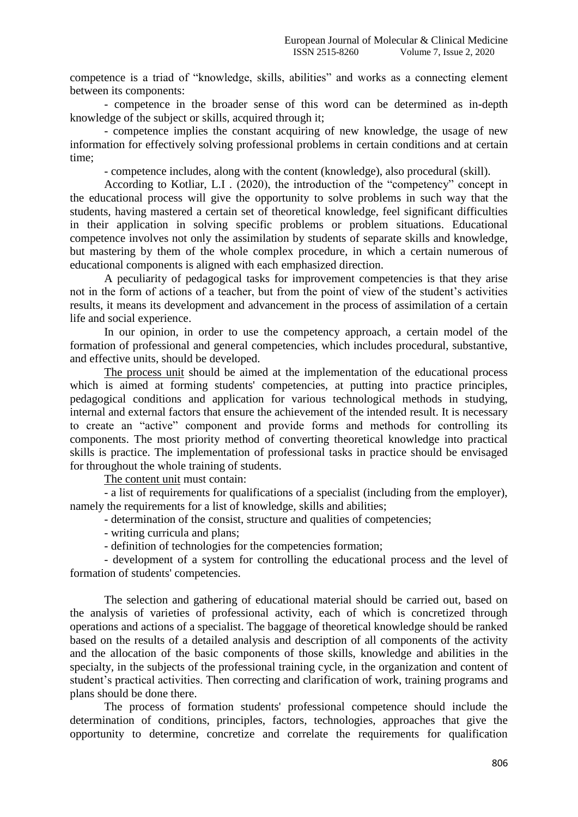competence is a triad of "knowledge, skills, abilities" and works as a connecting element between its components:

- competence in the broader sense of this word can be determined as in-depth knowledge of the subject or skills, acquired through it;

- competence implies the constant acquiring of new knowledge, the usage of new information for effectively solving professional problems in certain conditions and at certain time;

- competence includes, along with the content (knowledge), also procedural (skill).

According to Kotliar, L.I . (2020), the introduction of the "competency" concept in the educational process will give the opportunity to solve problems in such way that the students, having mastered a certain set of theoretical knowledge, feel significant difficulties in their application in solving specific problems or problem situations. Educational competence involves not only the assimilation by students of separate skills and knowledge, but mastering by them of the whole complex procedure, in which a certain numerous of educational components is aligned with each emphasized direction.

A peculiarity of pedagogical tasks for improvement competencies is that they arise not in the form of actions of a teacher, but from the point of view of the student's activities results, it means its development and advancement in the process of assimilation of a certain life and social experience.

In our opinion, in order to use the competency approach, a certain model of the formation of professional and general competencies, which includes procedural, substantive, and effective units, should be developed.

The process unit should be aimed at the implementation of the educational process which is aimed at forming students' competencies, at putting into practice principles, pedagogical conditions and application for various technological methods in studying, internal and external factors that ensure the achievement of the intended result. It is necessary to create an "active" component and provide forms and methods for controlling its components. The most priority method of converting theoretical knowledge into practical skills is practice. The implementation of professional tasks in practice should be envisaged for throughout the whole training of students.

The content unit must contain:

- a list of requirements for qualifications of a specialist (including from the employer), namely the requirements for a list of knowledge, skills and abilities;

- determination of the consist, structure and qualities of competencies;

- writing curricula and plans;
- definition of technologies for the competencies formation;

- development of a system for controlling the educational process and the level of formation of students' competencies.

The selection and gathering of educational material should be carried out, based on the analysis of varieties of professional activity, each of which is concretized through operations and actions of a specialist. The baggage of theoretical knowledge should be ranked based on the results of a detailed analysis and description of all components of the activity and the allocation of the basic components of those skills, knowledge and abilities in the specialty, in the subjects of the professional training cycle, in the organization and content of student's practical activities. Then correcting and clarification of work, training programs and plans should be done there.

The process of formation students' professional competence should include the determination of conditions, principles, factors, technologies, approaches that give the opportunity to determine, concretize and correlate the requirements for qualification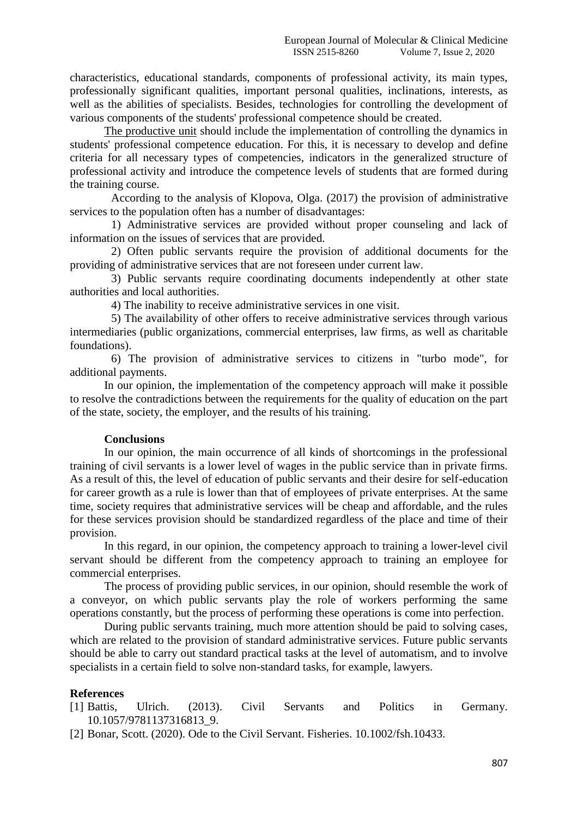characteristics, educational standards, components of professional activity, its main types, professionally significant qualities, important personal qualities, inclinations, interests, as well as the abilities of specialists. Besides, technologies for controlling the development of various components of the students' professional competence should be created.

The productive unit should include the implementation of controlling the dynamics in students' professional competence education. For this, it is necessary to develop and define criteria for all necessary types of competencies, indicators in the generalized structure of professional activity and introduce the competence levels of students that are formed during the training course.

According to the analysis of Klopova, Olga. (2017) the provision of administrative services to the population often has a number of disadvantages:

1) Administrative services are provided without proper counseling and lack of information on the issues of services that are provided.

2) Often public servants require the provision of additional documents for the providing of administrative services that are not foreseen under current law.

3) Public servants require coordinating documents independently at other state authorities and local authorities.

4) The inability to receive administrative services in one visit.

5) The availability of other offers to receive administrative services through various intermediaries (public organizations, commercial enterprises, law firms, as well as charitable foundations).

6) The provision of administrative services to citizens in "turbo mode", for additional payments.

In our opinion, the implementation of the competency approach will make it possible to resolve the contradictions between the requirements for the quality of education on the part of the state, society, the employer, and the results of his training.

#### **Conclusions**

In our opinion, the main occurrence of all kinds of shortcomings in the professional training of civil servants is a lower level of wages in the public service than in private firms. As a result of this, the level of education of public servants and their desire for self-education for career growth as a rule is lower than that of employees of private enterprises. At the same time, society requires that administrative services will be cheap and affordable, and the rules for these services provision should be standardized regardless of the place and time of their provision.

In this regard, in our opinion, the competency approach to training a lower-level civil servant should be different from the competency approach to training an employee for commercial enterprises.

The process of providing public services, in our opinion, should resemble the work of a conveyor, on which public servants play the role of workers performing the same operations constantly, but the process of performing these operations is come into perfection.

During public servants training, much more attention should be paid to solving cases, which are related to the provision of standard administrative services. Future public servants should be able to carry out standard practical tasks at the level of automatism, and to involve specialists in a certain field to solve non-standard tasks, for example, lawyers.

# **References**

[1] Battis, Ulrich. (2013). Civil Servants and Politics in Germany. 10.1057/9781137316813\_9.

[2] Bonar, Scott. (2020). Ode to the Civil Servant. Fisheries. 10.1002/fsh.10433.